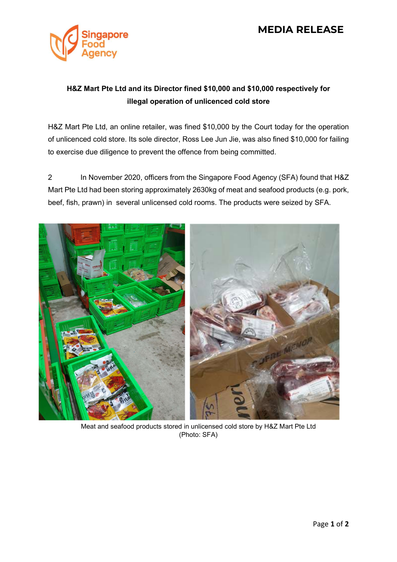## MEDIA RELEASE



## H&Z Mart Pte Ltd and its Director fined \$10,000 and \$10,000 respectively for illegal operation of unlicenced cold store

H&Z Mart Pte Ltd, an online retailer, was fined \$10,000 by the Court today for the operation of unlicenced cold store. Its sole director, Ross Lee Jun Jie, was also fined \$10,000 for failing to exercise due diligence to prevent the offence from being committed.

2 In November 2020, officers from the Singapore Food Agency (SFA) found that H&Z Mart Pte Ltd had been storing approximately 2630kg of meat and seafood products (e.g. pork, beef, fish, prawn) in several unlicensed cold rooms. The products were seized by SFA.



Meat and seafood products stored in unlicensed cold store by H&Z Mart Pte Ltd (Photo: SFA)